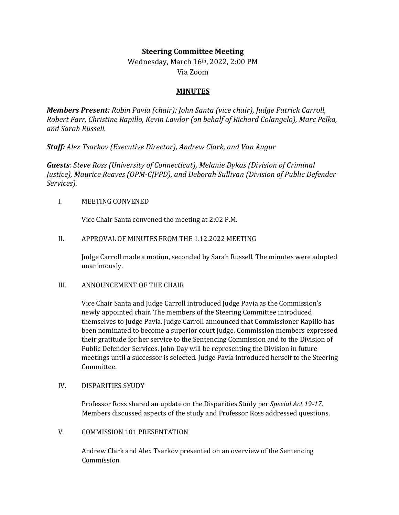# **Steering Committee Meeting**

Wednesday, March 16th, 2022, 2:00 PM Via Zoom

# **MINUTES**

*Members Present: Robin Pavia (chair); John Santa (vice chair), Judge Patrick Carroll, Robert Farr, Christine Rapillo, Kevin Lawlor (on behalf of Richard Colangelo), Marc Pelka, and Sarah Russell.* 

*Staff: Alex Tsarkov (Executive Director), Andrew Clark, and Van Augur*

*Guests: Steve Ross (University of Connecticut), Melanie Dykas (Division of Criminal Justice), Maurice Reaves (OPM-CJPPD), and Deborah Sullivan (Division of Public Defender Services).* 

#### I. MEETING CONVENED

Vice Chair Santa convened the meeting at 2:02 P.M.

## II. APPROVAL OF MINUTES FROM THE 1.12.2022 MEETING

Judge Carroll made a motion, seconded by Sarah Russell. The minutes were adopted unanimously.

#### III. ANNOUNCEMENT OF THE CHAIR

Vice Chair Santa and Judge Carroll introduced Judge Pavia as the Commission's newly appointed chair. The members of the Steering Committee introduced themselves to Judge Pavia. Judge Carroll announced that Commissioner Rapillo has been nominated to become a superior court judge. Commission members expressed their gratitude for her service to the Sentencing Commission and to the Division of Public Defender Services. John Day will be representing the Division in future meetings until a successor is selected. Judge Pavia introduced herself to the Steering Committee.

#### IV. DISPARITIES SYUDY

Professor Ross shared an update on the Disparities Study per *Special Act 19-17*. Members discussed aspects of the study and Professor Ross addressed questions.

#### V. COMMISSION 101 PRESENTATION

Andrew Clark and Alex Tsarkov presented on an overview of the Sentencing Commission.